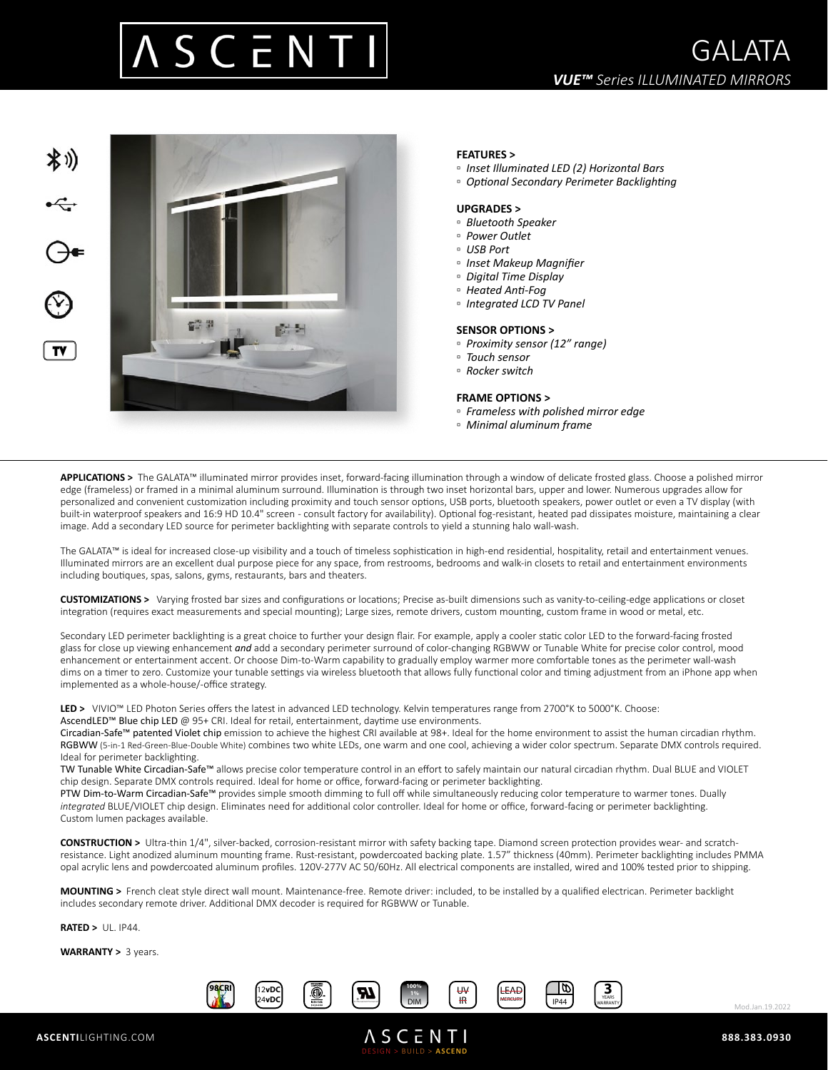



# **FEATURES >**

- *Inset Illuminated LED (2) Horizontal Bars*
- *Optional Secondary Perimeter Backlighting*

## **UPGRADES >**

- *Bluetooth Speaker*
- *Power Outlet*
- *USB Port*
- *Inset Makeup Magnifier*
- *Digital Time Display*
- *Heated Anti-Fog*
- *Integrated LCD TV Panel*

### **SENSOR OPTIONS >**

- *Proximity sensor (12" range)*
- *Touch sensor*
- *Rocker switch*

#### **FRAME OPTIONS >**

- *Frameless with polished mirror edge*
- *Minimal aluminum frame*

**APPLICATIONS >** The GALATA™ illuminated mirror provides inset, forward-facing illumination through a window of delicate frosted glass. Choose a polished mirror edge (frameless) or framed in a minimal aluminum surround. Illumination is through two inset horizontal bars, upper and lower. Numerous upgrades allow for personalized and convenient customization including proximity and touch sensor options, USB ports, bluetooth speakers, power outlet or even a TV display (with built-in waterproof speakers and 16:9 HD 10.4" screen - consult factory for availability). Optional fog-resistant, heated pad dissipates moisture, maintaining a clear image. Add a secondary LED source for perimeter backlighting with separate controls to yield a stunning halo wall-wash.

The GALATA™ is ideal for increased close-up visibility and a touch of timeless sophistication in high-end residential, hospitality, retail and entertainment venues. Illuminated mirrors are an excellent dual purpose piece for any space, from restrooms, bedrooms and walk-in closets to retail and entertainment environments including boutiques, spas, salons, gyms, restaurants, bars and theaters.

**CUSTOMIZATIONS >** Varying frosted bar sizes and configurations or locations; Precise as-built dimensions such as vanity-to-ceiling-edge applications or closet integration (requires exact measurements and special mounting); Large sizes, remote drivers, custom mounting, custom frame in wood or metal, etc.

Secondary LED perimeter backlighting is a great choice to further your design flair. For example, apply a cooler static color LED to the forward-facing frosted glass for close up viewing enhancement *and* add a secondary perimeter surround of color-changing RGBWW or Tunable White for precise color control, mood enhancement or entertainment accent. Or choose Dim-to-Warm capability to gradually employ warmer more comfortable tones as the perimeter wall-wash dims on a timer to zero. Customize your tunable settings via wireless bluetooth that allows fully functional color and timing adjustment from an iPhone app when implemented as a whole-house/-office strategy.

LED > VIVIO™ LED Photon Series offers the latest in advanced LED technology. Kelvin temperatures range from 2700°K to 5000°K. Choose: AscendLED™ Blue chip LED @ 95+ CRI. Ideal for retail, entertainment, daytime use environments.

Circadian-Safe™ patented Violet chip emission to achieve the highest CRI available at 98+. Ideal for the home environment to assist the human circadian rhythm. RGBWW (5-in-1 Red-Green-Blue-Double White) combines two white LEDs, one warm and one cool, achieving a wider color spectrum. Separate DMX controls required. Ideal for perimeter backlighting.

TW Tunable White Circadian-Safe™ allows precise color temperature control in an effort to safely maintain our natural circadian rhythm. Dual BLUE and VIOLET chip design. Separate DMX controls required. Ideal for home or office, forward-facing or perimeter backlighting.

PTW Dim-to-Warm Circadian-Safe™ provides simple smooth dimming to full off while simultaneously reducing color temperature to warmer tones. Dually *integrated* BLUE/VIOLET chip design. Eliminates need for additional color controller. Ideal for home or office, forward-facing or perimeter backlighting. Custom lumen packages available.

**CONSTRUCTION >** Ultra-thin 1/4", silver-backed, corrosion-resistant mirror with safety backing tape. Diamond screen protection provides wear- and scratchresistance. Light anodized aluminum mounting frame. Rust-resistant, powdercoated backing plate. 1.57" thickness (40mm). Perimeter backlighting includes PMMA opal acrylic lens and powdercoated aluminum profiles. 120V-277V AC 50/60Hz. All electrical components are installed, wired and 100% tested prior to shipping.

**MOUNTING >** French cleat style direct wall mount. Maintenance-free. Remote driver: included, to be installed by a qualified electrican. Perimeter backlight includes secondary remote driver. Additional DMX decoder is required for RGBWW or Tunable.

**RATED >** UL. IP44.

**WARRANTY >** 3 years.



DESIGN > BUILD > **ASCEND**



Mod.Jan.19.2022